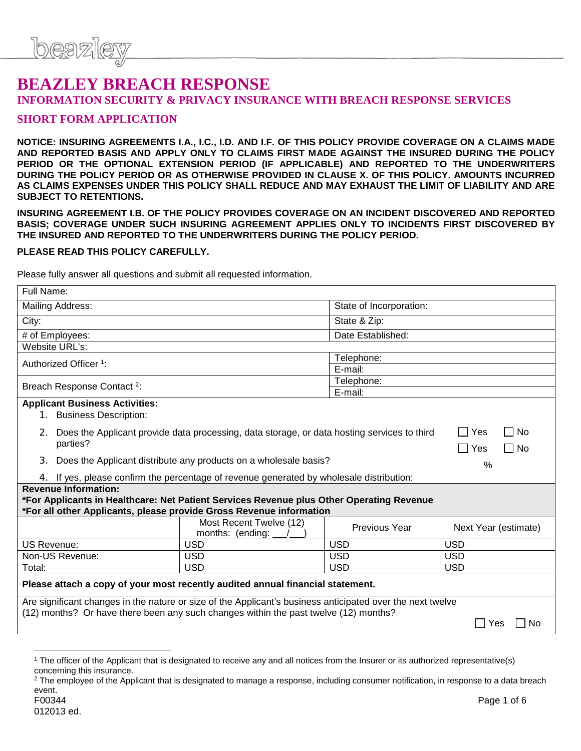# **BEAZLEY BREACH RESPONSE INFORMATION SECURITY & PRIVACY INSURANCE WITH BREACH RESPONSE SERVICES**

### **SHORT FORM APPLICATION**

**NOTICE: INSURING AGREEMENTS I.A., I.C., I.D. AND I.F. OF THIS POLICY PROVIDE COVERAGE ON A CLAIMS MADE AND REPORTED BASIS AND APPLY ONLY TO CLAIMS FIRST MADE AGAINST THE INSURED DURING THE POLICY PERIOD OR THE OPTIONAL EXTENSION PERIOD (IF APPLICABLE) AND REPORTED TO THE UNDERWRITERS DURING THE POLICY PERIOD OR AS OTHERWISE PROVIDED IN CLAUSE X. OF THIS POLICY. AMOUNTS INCURRED AS CLAIMS EXPENSES UNDER THIS POLICY SHALL REDUCE AND MAY EXHAUST THE LIMIT OF LIABILITY AND ARE SUBJECT TO RETENTIONS.**

**INSURING AGREEMENT I.B. OF THE POLICY PROVIDES COVERAGE ON AN INCIDENT DISCOVERED AND REPORTED BASIS; COVERAGE UNDER SUCH INSURING AGREEMENT APPLIES ONLY TO INCIDENTS FIRST DISCOVERED BY THE INSURED AND REPORTED TO THE UNDERWRITERS DURING THE POLICY PERIOD.**

#### **PLEASE READ THIS POLICY CAREFULLY.**

Please fully answer all questions and submit all requested information.

| Full Name:                                                                                                 |                                                                                                |                   |                             |  |
|------------------------------------------------------------------------------------------------------------|------------------------------------------------------------------------------------------------|-------------------|-----------------------------|--|
| Mailing Address:<br>State of Incorporation:                                                                |                                                                                                |                   |                             |  |
| City:                                                                                                      |                                                                                                | State & Zip:      |                             |  |
| # of Employees:                                                                                            |                                                                                                | Date Established: |                             |  |
| Website URL's:                                                                                             |                                                                                                |                   |                             |  |
| Authorized Officer <sup>1</sup> :                                                                          |                                                                                                | Telephone:        |                             |  |
|                                                                                                            |                                                                                                | E-mail:           |                             |  |
| Breach Response Contact <sup>2</sup> :                                                                     |                                                                                                | Telephone:        |                             |  |
|                                                                                                            |                                                                                                | E-mail:           |                             |  |
| <b>Applicant Business Activities:</b>                                                                      |                                                                                                |                   |                             |  |
| 1. Business Description:                                                                                   |                                                                                                |                   |                             |  |
|                                                                                                            | 2. Does the Applicant provide data processing, data storage, or data hosting services to third |                   | No<br>Yes<br>$\Box$         |  |
| parties?                                                                                                   |                                                                                                |                   | ∏ No<br>Yes<br>$\mathsf{I}$ |  |
| 3 <sub>1</sub><br>Does the Applicant distribute any products on a wholesale basis?                         |                                                                                                |                   | $\%$                        |  |
|                                                                                                            | 4. If yes, please confirm the percentage of revenue generated by wholesale distribution:       |                   |                             |  |
| <b>Revenue Information:</b>                                                                                |                                                                                                |                   |                             |  |
| *For Applicants in Healthcare: Net Patient Services Revenue plus Other Operating Revenue                   |                                                                                                |                   |                             |  |
| *For all other Applicants, please provide Gross Revenue information                                        |                                                                                                |                   |                             |  |
|                                                                                                            | Most Recent Twelve (12)<br>months: (ending:                                                    | Previous Year     | Next Year (estimate)        |  |
| <b>US Revenue:</b>                                                                                         | <b>USD</b>                                                                                     | <b>USD</b>        | <b>USD</b>                  |  |
| Non-US Revenue:                                                                                            | <b>USD</b>                                                                                     | <b>USD</b>        | <b>USD</b>                  |  |
| Total:                                                                                                     | <b>USD</b>                                                                                     | <b>USD</b>        | <b>USD</b>                  |  |
| Please attach a copy of your most recently audited annual financial statement.                             |                                                                                                |                   |                             |  |
| Are significant changes in the nature or size of the Applicant's business anticipated over the next twelve |                                                                                                |                   |                             |  |
| (12) months? Or have there been any such changes within the past twelve (12) months?                       |                                                                                                |                   |                             |  |
| <b>No</b><br>Yes                                                                                           |                                                                                                |                   |                             |  |
|                                                                                                            |                                                                                                |                   |                             |  |

 $\overline{a}$ 

<sup>1</sup> The officer of the Applicant that is designated to receive any and all notices from the Insurer or its authorized representative(s) concerning this insurance.

<sup>&</sup>lt;sup>2</sup> The employee of the Applicant that is designated to manage a response, including consumer notification, in response to a data breach event.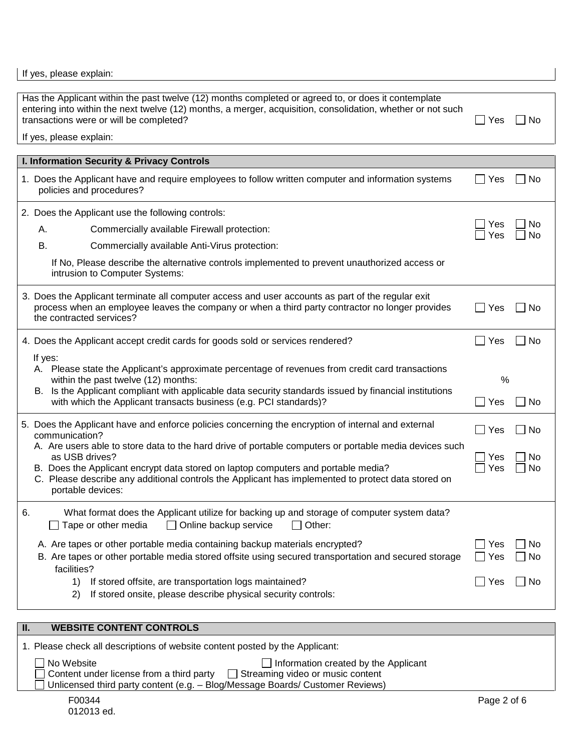If yes, please explain:

| Has the Applicant within the past twelve (12) months completed or agreed to, or does it contemplate<br>entering into within the next twelve (12) months, a merger, acquisition, consolidation, whether or not such<br>transactions were or will be completed? |                                                                                                                                                                                                                                                                                                                                          | Yes        | No                          |
|---------------------------------------------------------------------------------------------------------------------------------------------------------------------------------------------------------------------------------------------------------------|------------------------------------------------------------------------------------------------------------------------------------------------------------------------------------------------------------------------------------------------------------------------------------------------------------------------------------------|------------|-----------------------------|
|                                                                                                                                                                                                                                                               | If yes, please explain:                                                                                                                                                                                                                                                                                                                  |            |                             |
|                                                                                                                                                                                                                                                               |                                                                                                                                                                                                                                                                                                                                          |            |                             |
|                                                                                                                                                                                                                                                               | I. Information Security & Privacy Controls                                                                                                                                                                                                                                                                                               |            |                             |
|                                                                                                                                                                                                                                                               | 1. Does the Applicant have and require employees to follow written computer and information systems<br>policies and procedures?                                                                                                                                                                                                          | Yes        | No                          |
|                                                                                                                                                                                                                                                               | 2. Does the Applicant use the following controls:                                                                                                                                                                                                                                                                                        |            |                             |
|                                                                                                                                                                                                                                                               | Commercially available Firewall protection:<br>А.                                                                                                                                                                                                                                                                                        | Yes<br>Yes | No<br>No                    |
|                                                                                                                                                                                                                                                               | В.<br>Commercially available Anti-Virus protection:                                                                                                                                                                                                                                                                                      |            |                             |
|                                                                                                                                                                                                                                                               | If No, Please describe the alternative controls implemented to prevent unauthorized access or<br>intrusion to Computer Systems:                                                                                                                                                                                                          |            |                             |
|                                                                                                                                                                                                                                                               | 3. Does the Applicant terminate all computer access and user accounts as part of the regular exit<br>process when an employee leaves the company or when a third party contractor no longer provides<br>the contracted services?                                                                                                         | Yes        | No                          |
|                                                                                                                                                                                                                                                               | 4. Does the Applicant accept credit cards for goods sold or services rendered?                                                                                                                                                                                                                                                           | Yes        | <b>No</b><br>$\blacksquare$ |
|                                                                                                                                                                                                                                                               | If yes:<br>A. Please state the Applicant's approximate percentage of revenues from credit card transactions<br>within the past twelve (12) months:<br>B. Is the Applicant compliant with applicable data security standards issued by financial institutions<br>with which the Applicant transacts business (e.g. PCI standards)?        | %<br>Yes   | No                          |
|                                                                                                                                                                                                                                                               | 5. Does the Applicant have and enforce policies concerning the encryption of internal and external<br>communication?                                                                                                                                                                                                                     | Yes        | No                          |
|                                                                                                                                                                                                                                                               | A. Are users able to store data to the hard drive of portable computers or portable media devices such<br>as USB drives?<br>B. Does the Applicant encrypt data stored on laptop computers and portable media?<br>C. Please describe any additional controls the Applicant has implemented to protect data stored on<br>portable devices: |            | No<br>No                    |
| 6.                                                                                                                                                                                                                                                            | What format does the Applicant utilize for backing up and storage of computer system data?<br>Other:<br>Tape or other media<br>Online backup service                                                                                                                                                                                     |            |                             |
|                                                                                                                                                                                                                                                               | A. Are tapes or other portable media containing backup materials encrypted?<br>B. Are tapes or other portable media stored offsite using secured transportation and secured storage<br>facilities?                                                                                                                                       | Yes<br>Yes | No<br>No                    |
|                                                                                                                                                                                                                                                               | If stored offsite, are transportation logs maintained?<br>1)<br>If stored onsite, please describe physical security controls:<br>2)                                                                                                                                                                                                      | Yes        | No                          |

## F00344 **Page 2 of 6 II. WEBSITE CONTENT CONTROLS** 1. Please check all descriptions of website content posted by the Applicant: No Website **Information created by the Applicant** Content under license from a third party  $\Box$  Streaming video or music content  $\Box$  Unlicensed third party content (e.g. – Blog/Message Boards/ Customer Reviews)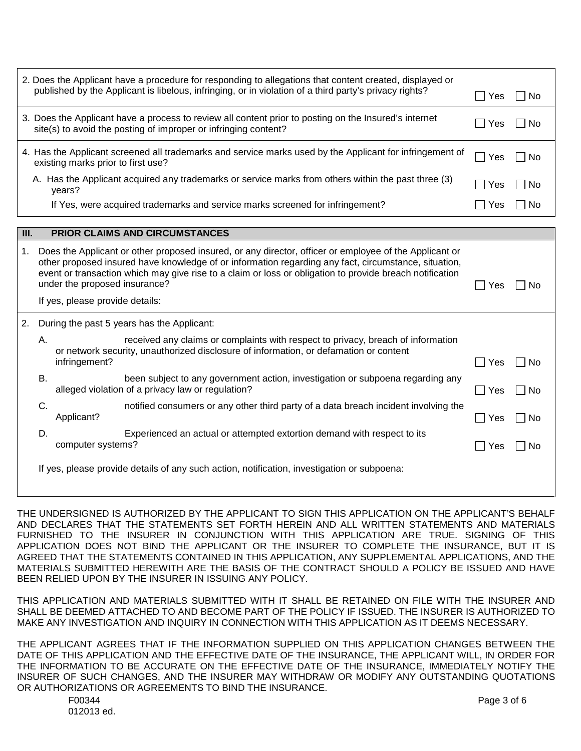|      | 2. Does the Applicant have a procedure for responding to allegations that content created, displayed or<br>published by the Applicant is libelous, infringing, or in violation of a third party's privacy rights?                                                                                                          | Yes | ⊟ No   |
|------|----------------------------------------------------------------------------------------------------------------------------------------------------------------------------------------------------------------------------------------------------------------------------------------------------------------------------|-----|--------|
|      | 3. Does the Applicant have a process to review all content prior to posting on the Insured's internet<br>site(s) to avoid the posting of improper or infringing content?                                                                                                                                                   | Yes | -No    |
|      | 4. Has the Applicant screened all trademarks and service marks used by the Applicant for infringement of<br>existing marks prior to first use?                                                                                                                                                                             | Yes | – I No |
|      | A. Has the Applicant acquired any trademarks or service marks from others within the past three (3)<br>years?                                                                                                                                                                                                              | Yes | -No    |
|      | If Yes, were acquired trademarks and service marks screened for infringement?                                                                                                                                                                                                                                              | Yes | - No   |
|      |                                                                                                                                                                                                                                                                                                                            |     |        |
| III. | <b>PRIOR CLAIMS AND CIRCUMSTANCES</b>                                                                                                                                                                                                                                                                                      |     |        |
| 1.   | Does the Applicant or other proposed insured, or any director, officer or employee of the Applicant or<br>other proposed insured have knowledge of or information regarding any fact, circumstance, situation,<br>event or transaction which may give rise to a claim or loss or obligation to provide breach notification |     |        |
|      | under the proposed insurance?                                                                                                                                                                                                                                                                                              | Yes | No.    |
|      | If yes, please provide details:                                                                                                                                                                                                                                                                                            |     |        |
|      | During the past 5 years has the Applicant.                                                                                                                                                                                                                                                                                 |     |        |

2. During the past 5 years has the Applicant:

| Α. | received any claims or complaints with respect to privacy, breach of information<br>or network security, unauthorized disclosure of information, or defamation or content |       |        |
|----|---------------------------------------------------------------------------------------------------------------------------------------------------------------------------|-------|--------|
|    | infringement?                                                                                                                                                             | l Yes | – I No |
| В. | been subject to any government action, investigation or subpoena regarding any<br>alleged violation of a privacy law or regulation?                                       | Yes   | l INo  |
|    | notified consumers or any other third party of a data breach incident involving the<br>Applicant?                                                                         | Yes   | No.    |

D. Experienced an actual or attempted extortion demand with respect to its computer systems?

If yes, please provide details of any such action, notification, investigation or subpoena:

THE UNDERSIGNED IS AUTHORIZED BY THE APPLICANT TO SIGN THIS APPLICATION ON THE APPLICANT'S BEHALF AND DECLARES THAT THE STATEMENTS SET FORTH HEREIN AND ALL WRITTEN STATEMENTS AND MATERIALS FURNISHED TO THE INSURER IN CONJUNCTION WITH THIS APPLICATION ARE TRUE. SIGNING OF THIS APPLICATION DOES NOT BIND THE APPLICANT OR THE INSURER TO COMPLETE THE INSURANCE, BUT IT IS AGREED THAT THE STATEMENTS CONTAINED IN THIS APPLICATION, ANY SUPPLEMENTAL APPLICATIONS, AND THE MATERIALS SUBMITTED HEREWITH ARE THE BASIS OF THE CONTRACT SHOULD A POLICY BE ISSUED AND HAVE BEEN RELIED UPON BY THE INSURER IN ISSUING ANY POLICY.

THIS APPLICATION AND MATERIALS SUBMITTED WITH IT SHALL BE RETAINED ON FILE WITH THE INSURER AND SHALL BE DEEMED ATTACHED TO AND BECOME PART OF THE POLICY IF ISSUED. THE INSURER IS AUTHORIZED TO MAKE ANY INVESTIGATION AND INQUIRY IN CONNECTION WITH THIS APPLICATION AS IT DEEMS NECESSARY.

THE APPLICANT AGREES THAT IF THE INFORMATION SUPPLIED ON THIS APPLICATION CHANGES BETWEEN THE DATE OF THIS APPLICATION AND THE EFFECTIVE DATE OF THE INSURANCE, THE APPLICANT WILL, IN ORDER FOR THE INFORMATION TO BE ACCURATE ON THE EFFECTIVE DATE OF THE INSURANCE, IMMEDIATELY NOTIFY THE INSURER OF SUCH CHANGES, AND THE INSURER MAY WITHDRAW OR MODIFY ANY OUTSTANDING QUOTATIONS OR AUTHORIZATIONS OR AGREEMENTS TO BIND THE INSURANCE.

 $\Box$  Yes  $\Box$  No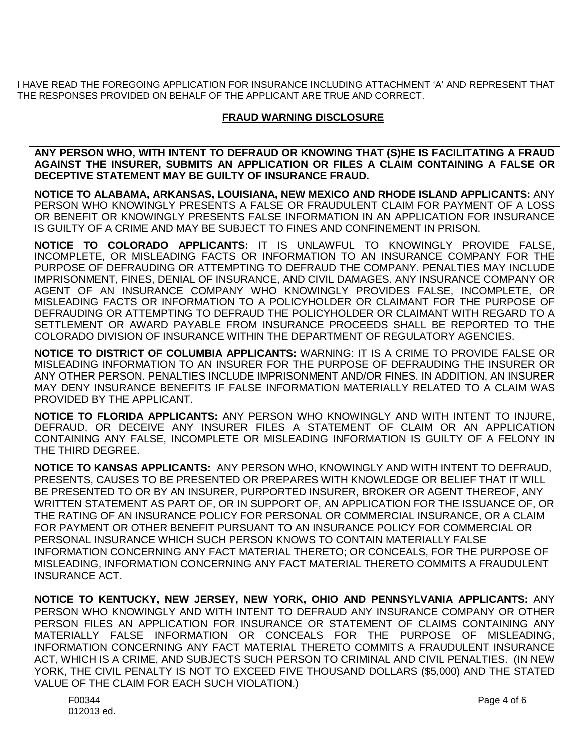I HAVE READ THE FOREGOING APPLICATION FOR INSURANCE INCLUDING ATTACHMENT 'A' AND REPRESENT THAT THE RESPONSES PROVIDED ON BEHALF OF THE APPLICANT ARE TRUE AND CORRECT.

### **FRAUD WARNING DISCLOSURE**

**ANY PERSON WHO, WITH INTENT TO DEFRAUD OR KNOWING THAT (S)HE IS FACILITATING A FRAUD AGAINST THE INSURER, SUBMITS AN APPLICATION OR FILES A CLAIM CONTAINING A FALSE OR DECEPTIVE STATEMENT MAY BE GUILTY OF INSURANCE FRAUD.**

**NOTICE TO ALABAMA, ARKANSAS, LOUISIANA, NEW MEXICO AND RHODE ISLAND APPLICANTS:** ANY PERSON WHO KNOWINGLY PRESENTS A FALSE OR FRAUDULENT CLAIM FOR PAYMENT OF A LOSS OR BENEFIT OR KNOWINGLY PRESENTS FALSE INFORMATION IN AN APPLICATION FOR INSURANCE IS GUILTY OF A CRIME AND MAY BE SUBJECT TO FINES AND CONFINEMENT IN PRISON.

**NOTICE TO COLORADO APPLICANTS:** IT IS UNLAWFUL TO KNOWINGLY PROVIDE FALSE, INCOMPLETE, OR MISLEADING FACTS OR INFORMATION TO AN INSURANCE COMPANY FOR THE PURPOSE OF DEFRAUDING OR ATTEMPTING TO DEFRAUD THE COMPANY. PENALTIES MAY INCLUDE IMPRISONMENT, FINES, DENIAL OF INSURANCE, AND CIVIL DAMAGES. ANY INSURANCE COMPANY OR AGENT OF AN INSURANCE COMPANY WHO KNOWINGLY PROVIDES FALSE, INCOMPLETE, OR MISLEADING FACTS OR INFORMATION TO A POLICYHOLDER OR CLAIMANT FOR THE PURPOSE OF DEFRAUDING OR ATTEMPTING TO DEFRAUD THE POLICYHOLDER OR CLAIMANT WITH REGARD TO A SETTLEMENT OR AWARD PAYABLE FROM INSURANCE PROCEEDS SHALL BE REPORTED TO THE COLORADO DIVISION OF INSURANCE WITHIN THE DEPARTMENT OF REGULATORY AGENCIES.

**NOTICE TO DISTRICT OF COLUMBIA APPLICANTS:** WARNING: IT IS A CRIME TO PROVIDE FALSE OR MISLEADING INFORMATION TO AN INSURER FOR THE PURPOSE OF DEFRAUDING THE INSURER OR ANY OTHER PERSON. PENALTIES INCLUDE IMPRISONMENT AND/OR FINES. IN ADDITION, AN INSURER MAY DENY INSURANCE BENEFITS IF FALSE INFORMATION MATERIALLY RELATED TO A CLAIM WAS PROVIDED BY THE APPLICANT.

**NOTICE TO FLORIDA APPLICANTS:** ANY PERSON WHO KNOWINGLY AND WITH INTENT TO INJURE, DEFRAUD, OR DECEIVE ANY INSURER FILES A STATEMENT OF CLAIM OR AN APPLICATION CONTAINING ANY FALSE, INCOMPLETE OR MISLEADING INFORMATION IS GUILTY OF A FELONY IN THE THIRD DEGREE.

**NOTICE TO KANSAS APPLICANTS:** ANY PERSON WHO, KNOWINGLY AND WITH INTENT TO DEFRAUD, PRESENTS, CAUSES TO BE PRESENTED OR PREPARES WITH KNOWLEDGE OR BELIEF THAT IT WILL BE PRESENTED TO OR BY AN INSURER, PURPORTED INSURER, BROKER OR AGENT THEREOF, ANY WRITTEN STATEMENT AS PART OF, OR IN SUPPORT OF, AN APPLICATION FOR THE ISSUANCE OF, OR THE RATING OF AN INSURANCE POLICY FOR PERSONAL OR COMMERCIAL INSURANCE, OR A CLAIM FOR PAYMENT OR OTHER BENEFIT PURSUANT TO AN INSURANCE POLICY FOR COMMERCIAL OR PERSONAL INSURANCE WHICH SUCH PERSON KNOWS TO CONTAIN MATERIALLY FALSE INFORMATION CONCERNING ANY FACT MATERIAL THERETO; OR CONCEALS, FOR THE PURPOSE OF MISLEADING, INFORMATION CONCERNING ANY FACT MATERIAL THERETO COMMITS A FRAUDULENT INSURANCE ACT.

**NOTICE TO KENTUCKY, NEW JERSEY, NEW YORK, OHIO AND PENNSYLVANIA APPLICANTS:** ANY PERSON WHO KNOWINGLY AND WITH INTENT TO DEFRAUD ANY INSURANCE COMPANY OR OTHER PERSON FILES AN APPLICATION FOR INSURANCE OR STATEMENT OF CLAIMS CONTAINING ANY MATERIALLY FALSE INFORMATION OR CONCEALS FOR THE PURPOSE OF MISLEADING, INFORMATION CONCERNING ANY FACT MATERIAL THERETO COMMITS A FRAUDULENT INSURANCE ACT, WHICH IS A CRIME, AND SUBJECTS SUCH PERSON TO CRIMINAL AND CIVIL PENALTIES. (IN NEW YORK, THE CIVIL PENALTY IS NOT TO EXCEED FIVE THOUSAND DOLLARS (\$5,000) AND THE STATED VALUE OF THE CLAIM FOR EACH SUCH VIOLATION.)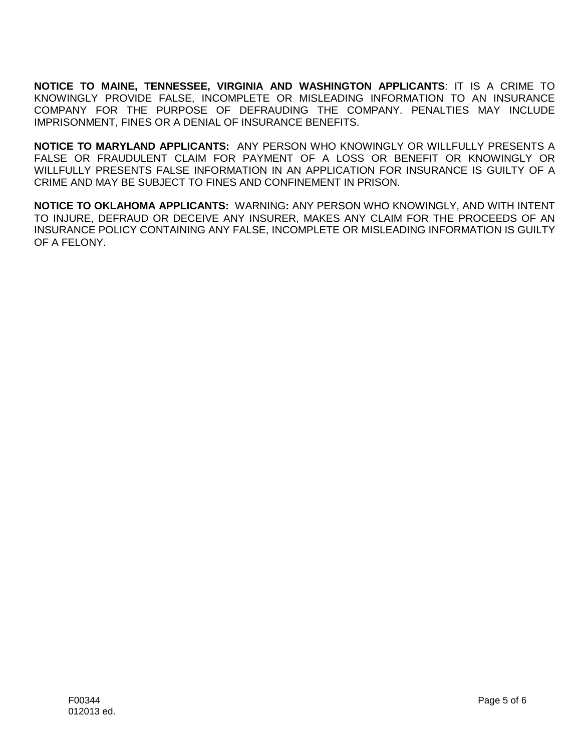**NOTICE TO MAINE, TENNESSEE, VIRGINIA AND WASHINGTON APPLICANTS**: IT IS A CRIME TO KNOWINGLY PROVIDE FALSE, INCOMPLETE OR MISLEADING INFORMATION TO AN INSURANCE COMPANY FOR THE PURPOSE OF DEFRAUDING THE COMPANY. PENALTIES MAY INCLUDE IMPRISONMENT, FINES OR A DENIAL OF INSURANCE BENEFITS.

**NOTICE TO MARYLAND APPLICANTS:** ANY PERSON WHO KNOWINGLY OR WILLFULLY PRESENTS A FALSE OR FRAUDULENT CLAIM FOR PAYMENT OF A LOSS OR BENEFIT OR KNOWINGLY OR WILLFULLY PRESENTS FALSE INFORMATION IN AN APPLICATION FOR INSURANCE IS GUILTY OF A CRIME AND MAY BE SUBJECT TO FINES AND CONFINEMENT IN PRISON.

**NOTICE TO OKLAHOMA APPLICANTS:** WARNING**:** ANY PERSON WHO KNOWINGLY, AND WITH INTENT TO INJURE, DEFRAUD OR DECEIVE ANY INSURER, MAKES ANY CLAIM FOR THE PROCEEDS OF AN INSURANCE POLICY CONTAINING ANY FALSE, INCOMPLETE OR MISLEADING INFORMATION IS GUILTY OF A FELONY.